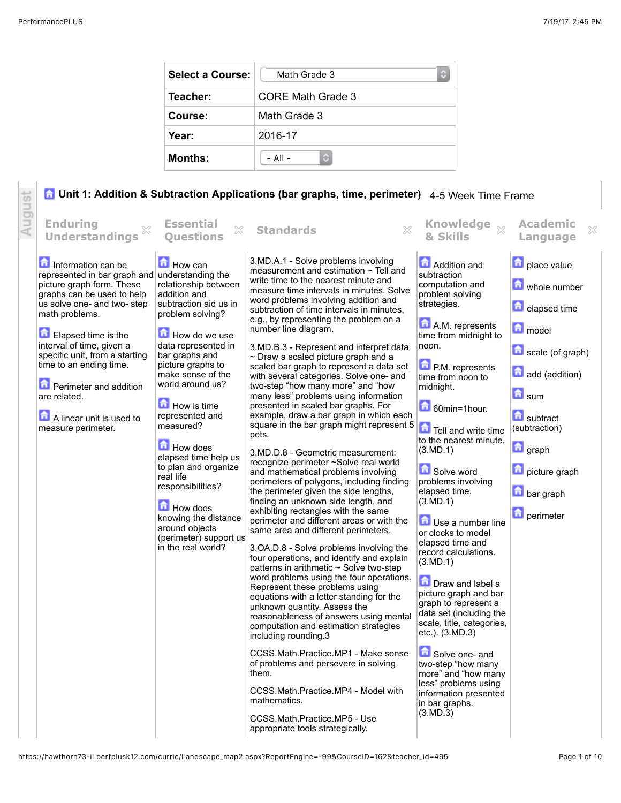| <b>Select a Course:</b> | Math Grade 3      |
|-------------------------|-------------------|
| Teacher:                | CORE Math Grade 3 |
| Course:                 | Math Grade 3      |
| Year:                   | 2016-17           |
| <b>Months:</b>          | $-$ All $-$       |

**A Unit 1: Addition & Subtraction Applications (bar graphs, time, perimeter)** 4-5 Week Time Frame August **Questions Standards Knowledge Enduring Essential Academic Understandings & Skills Language** 3.MD.A.1 - Solve problems involving Information can be How can **Addition and place** value measurement and estimation  $\sim$  Tell and subtraction represented in bar graph and understanding the write time to the nearest minute and picture graph form. These relationship between computation and whole number measure time intervals in minutes. Solve graphs can be used to help addition and problem solving word problems involving addition and us solve one- and two- step subtraction aid us in strategies. **E** elapsed time subtraction of time intervals in minutes, math problems. problem solving? e.g., by representing the problem on a **A.M.** represents **model** number line diagram. How do we use Elapsed time is the time from midnight to interval of time, given a data represented in noon. 3.MD.B.3 - Represent and interpret data scale (of graph) specific unit, from a starting bar graphs and ~ Draw a scaled picture graph and a time to an ending time. picture graphs to **P.M.** represents scaled bar graph to represent a data set add (addition) make sense of the with several categories. Solve one- and time from noon to **Perimeter and addition** world around us? two-step "how many more" and "how midnight. **h** sum are related. many less" problems using information presented in scaled bar graphs. For  $\Box$  How is time 60min=1hour. example, draw a bar graph in which each **A** linear unit is used to represented and subtract square in the bar graph might represent 5 measured? Tell and write time measure perimeter. (subtraction) pets. to the nearest minute. **How does graph** (3.MD.1) 3.MD.D.8 - Geometric measurement: elapsed time help us recognize perimeter ~Solve real world to plan and organize Solve word **n** picture graph and mathematical problems involving real life problems involving perimeters of polygons, including finding responsibilities? elapsed time. **bar** graph the perimeter given the side lengths, finding an unknown side length, and (3.MD.1) **How does** exhibiting rectangles with the same **n** perimeter knowing the distance perimeter and different areas or with the **Use a number line** around objects same area and different perimeters. or clocks to model (perimeter) support us elapsed time and in the real world? 3.OA.D.8 - Solve problems involving the record calculations. four operations, and identify and explain (3.MD.1) patterns in arithmetic ~ Solve two-step word problems using the four operations. **Draw and label a** Represent these problems using picture graph and bar equations with a letter standing for the graph to represent a unknown quantity. Assess the data set (including the reasonableness of answers using mental scale, title, categories, computation and estimation strategies etc.). (3.MD.3) including rounding.3 Solve one- and CCSS.Math.Practice.MP1 - Make sense of problems and persevere in solving two-step "how many them. more" and "how many less" problems using CCSS.Math.Practice.MP4 - Model with information presented mathematics. in bar graphs. (3.MD.3) CCSS.Math.Practice.MP5 - Use appropriate tools strategically.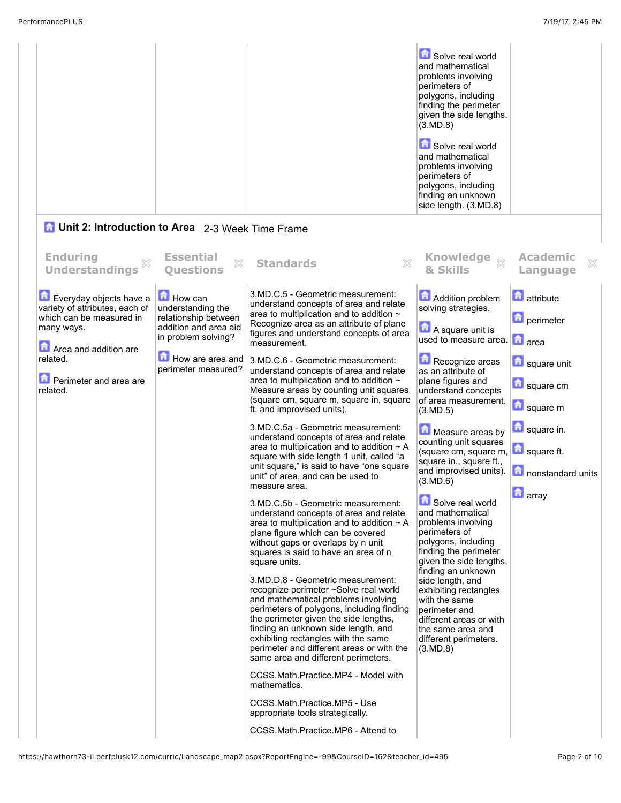|  | Solve real world<br>and mathematical<br>problems involving<br>perimeters of<br>polygons, including<br>finding the perimeter<br>given the side lengths.<br>(3.MD.8) |
|--|--------------------------------------------------------------------------------------------------------------------------------------------------------------------|
|  | Solve real world<br>and mathematical<br>problems involving<br>perimeters of<br>polygons, including<br>finding an unknown<br>side length. (3.MD.8)                  |

## **1** Unit 2: Introduction to Area 2-3 Week Time Frame

| <b>Enduring</b><br><b>Understandings</b>                                                                                                                                       | X<br><b>Ouestions</b>                                                                                                                                                      | 83<br><b>Standards</b>                                                                                                                                                                                                                                                                                                                                                                                                                                                                                                                                                                                                                                                                                                                                                                                                                                                                                                                                                                                                                                                                                                                                                                                                                                                                                                                                                                                             | & Skills                                                                                                                                                                                                                                                                                                                                                                                                                                                                                                                                                                                                                                                                                                                                   | <b>Academic</b><br>X<br>Language                                                                                                                  |
|--------------------------------------------------------------------------------------------------------------------------------------------------------------------------------|----------------------------------------------------------------------------------------------------------------------------------------------------------------------------|--------------------------------------------------------------------------------------------------------------------------------------------------------------------------------------------------------------------------------------------------------------------------------------------------------------------------------------------------------------------------------------------------------------------------------------------------------------------------------------------------------------------------------------------------------------------------------------------------------------------------------------------------------------------------------------------------------------------------------------------------------------------------------------------------------------------------------------------------------------------------------------------------------------------------------------------------------------------------------------------------------------------------------------------------------------------------------------------------------------------------------------------------------------------------------------------------------------------------------------------------------------------------------------------------------------------------------------------------------------------------------------------------------------------|--------------------------------------------------------------------------------------------------------------------------------------------------------------------------------------------------------------------------------------------------------------------------------------------------------------------------------------------------------------------------------------------------------------------------------------------------------------------------------------------------------------------------------------------------------------------------------------------------------------------------------------------------------------------------------------------------------------------------------------------|---------------------------------------------------------------------------------------------------------------------------------------------------|
| Everyday objects have a<br>variety of attributes, each of<br>which can be measured in<br>many ways.<br>Area and addition are<br>related.<br>Perimeter and area are<br>related. | <b>Essential</b><br>$\Box$ How can<br>understanding the<br>relationship between<br>addition and area aid<br>in problem solving?<br>How are area and<br>perimeter measured? | 3.MD.C.5 - Geometric measurement:<br>understand concepts of area and relate<br>area to multiplication and to addition ~<br>Recognize area as an attribute of plane<br>figures and understand concepts of area<br>measurement.<br>3.MD.C.6 - Geometric measurement:<br>understand concepts of area and relate<br>area to multiplication and to addition ~<br>Measure areas by counting unit squares<br>(square cm, square m, square in, square<br>ft, and improvised units).<br>3.MD.C.5a - Geometric measurement:<br>understand concepts of area and relate<br>area to multiplication and to addition $\sim$ A<br>square with side length 1 unit, called "a<br>unit square," is said to have "one square<br>unit" of area, and can be used to<br>measure area.<br>3.MD.C.5b - Geometric measurement:<br>understand concepts of area and relate<br>area to multiplication and to addition $\sim$ A<br>plane figure which can be covered<br>without gaps or overlaps by n unit<br>squares is said to have an area of n<br>square units.<br>3.MD.D.8 - Geometric measurement:<br>recognize perimeter ~Solve real world<br>and mathematical problems involving<br>perimeters of polygons, including finding<br>the perimeter given the side lengths,<br>finding an unknown side length, and<br>exhibiting rectangles with the same<br>perimeter and different areas or with the<br>same area and different perimeters. | <b>Knowledge</b><br>Addition problem<br>solving strategies.<br>A square unit is<br>used to measure area. <b>n</b> area<br>Recognize areas<br>as an attribute of<br>plane figures and<br>understand concepts<br>of area measurement.<br>(3.MD.5)<br>Measure areas by<br>counting unit squares<br>(square cm, square m,<br>square in., square ft.,<br>and improvised units).<br>(3.MD.6)<br>Solve real world<br>and mathematical<br>problems involving<br>perimeters of<br>polygons, including<br>finding the perimeter<br>given the side lengths.<br>finding an unknown<br>side length, and<br>exhibiting rectangles<br>with the same<br>perimeter and<br>different areas or with<br>the same area and<br>different perimeters.<br>(3.MD.8) | <b>n</b> attribute<br><b>D</b> perimeter<br>square unit<br>square cm<br>square m<br>square in.<br>square ft.<br>nonstandard units<br>$\Box$ array |
|                                                                                                                                                                                |                                                                                                                                                                            | CCSS.Math.Practice.MP4 - Model with<br>mathematics.<br>CCSS.Math.Practice.MP5 - Use<br>appropriate tools strategically.<br>CCSS.Math.Practice.MP6 - Attend to                                                                                                                                                                                                                                                                                                                                                                                                                                                                                                                                                                                                                                                                                                                                                                                                                                                                                                                                                                                                                                                                                                                                                                                                                                                      |                                                                                                                                                                                                                                                                                                                                                                                                                                                                                                                                                                                                                                                                                                                                            |                                                                                                                                                   |
|                                                                                                                                                                                |                                                                                                                                                                            |                                                                                                                                                                                                                                                                                                                                                                                                                                                                                                                                                                                                                                                                                                                                                                                                                                                                                                                                                                                                                                                                                                                                                                                                                                                                                                                                                                                                                    |                                                                                                                                                                                                                                                                                                                                                                                                                                                                                                                                                                                                                                                                                                                                            |                                                                                                                                                   |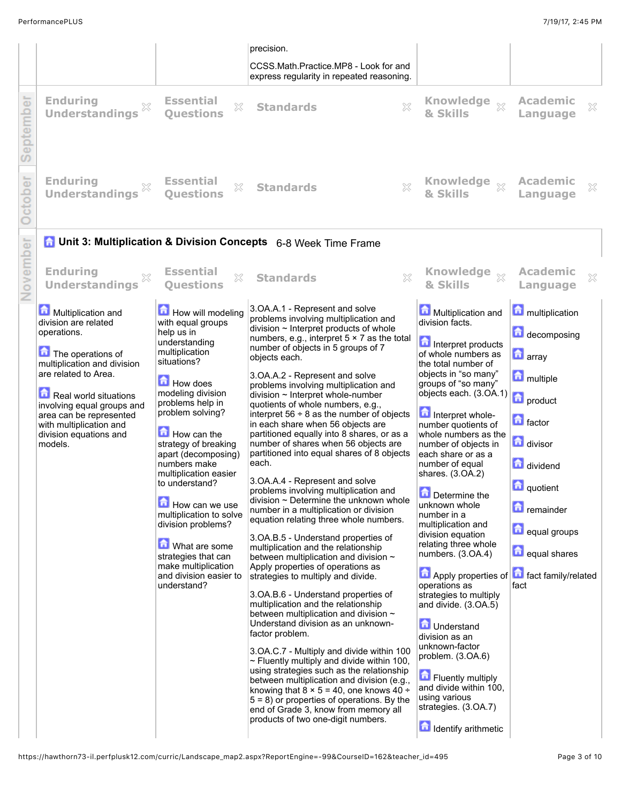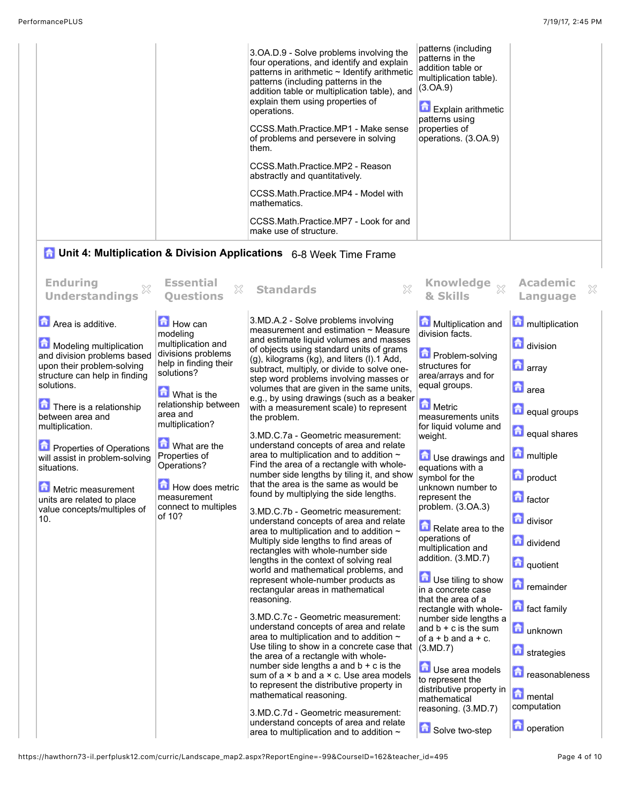| operations.<br>them. | 3. OA.D.9 - Solve problems involving the<br>four operations, and identify and explain<br>patterns in arithmetic ~ Identify arithmetic<br>patterns (including patterns in the<br>addition table or multiplication table), and<br>explain them using properties of<br>CCSS.Math.Practice.MP1 - Make sense<br>of problems and persevere in solving<br>CCSS.Math.Practice.MP2 - Reason<br>abstractly and quantitatively.<br>CCSS.Math.Practice.MP4 - Model with<br>mathematics.<br>CCSS.Math.Practice.MP7 - Look for and<br>make use of structure. | patterns (including<br>patterns in the<br>addition table or<br>multiplication table).<br>(3.0A.9)<br><b>Explain arithmetic</b><br>patterns using<br>properties of<br>operations. (3.OA.9) |  |
|----------------------|------------------------------------------------------------------------------------------------------------------------------------------------------------------------------------------------------------------------------------------------------------------------------------------------------------------------------------------------------------------------------------------------------------------------------------------------------------------------------------------------------------------------------------------------|-------------------------------------------------------------------------------------------------------------------------------------------------------------------------------------------|--|
|----------------------|------------------------------------------------------------------------------------------------------------------------------------------------------------------------------------------------------------------------------------------------------------------------------------------------------------------------------------------------------------------------------------------------------------------------------------------------------------------------------------------------------------------------------------------------|-------------------------------------------------------------------------------------------------------------------------------------------------------------------------------------------|--|

## **1** Unit 4: Multiplication & Division Applications 6-8 Week Time Frame

| <b>Enduring</b><br>X<br><b>Understandings</b>                                                                                                                                                                                                                                                                                                                                                          | <b>Essential</b><br>×<br><b>Ouestions</b>                                                                                                                                                                                                                                                                        | ×<br><b>Standards</b>                                                                                                                                                                                                                                                                                                                                                                                                                                                                                                                                                                                                                                                                                                                                                                                                                                                                                                                                                                                                                                                                                                                                                                                                                                                                                                                                                                                                                                                                                                                                                                                                                                                                                | <b>Knowledge</b><br>$\bar{\chi}$<br>& Skills                                                                                                                                                                                                                                                                                                                                                                                                                                                                                                                                                                                                                                                                              | <b>Academic</b><br>Language                                                                                                                                                                                                                                                                                                                 | $\gg$ |
|--------------------------------------------------------------------------------------------------------------------------------------------------------------------------------------------------------------------------------------------------------------------------------------------------------------------------------------------------------------------------------------------------------|------------------------------------------------------------------------------------------------------------------------------------------------------------------------------------------------------------------------------------------------------------------------------------------------------------------|------------------------------------------------------------------------------------------------------------------------------------------------------------------------------------------------------------------------------------------------------------------------------------------------------------------------------------------------------------------------------------------------------------------------------------------------------------------------------------------------------------------------------------------------------------------------------------------------------------------------------------------------------------------------------------------------------------------------------------------------------------------------------------------------------------------------------------------------------------------------------------------------------------------------------------------------------------------------------------------------------------------------------------------------------------------------------------------------------------------------------------------------------------------------------------------------------------------------------------------------------------------------------------------------------------------------------------------------------------------------------------------------------------------------------------------------------------------------------------------------------------------------------------------------------------------------------------------------------------------------------------------------------------------------------------------------------|---------------------------------------------------------------------------------------------------------------------------------------------------------------------------------------------------------------------------------------------------------------------------------------------------------------------------------------------------------------------------------------------------------------------------------------------------------------------------------------------------------------------------------------------------------------------------------------------------------------------------------------------------------------------------------------------------------------------------|---------------------------------------------------------------------------------------------------------------------------------------------------------------------------------------------------------------------------------------------------------------------------------------------------------------------------------------------|-------|
| Area is additive.<br>Modeling multiplication<br>and division problems based<br>upon their problem-solving<br>structure can help in finding<br>solutions.<br>There is a relationship<br>between area and<br>multiplication.<br>Properties of Operations<br>will assist in problem-solving<br>situations.<br>缶<br>Metric measurement<br>units are related to place<br>value concepts/multiples of<br>10. | <b>How can</b><br>modeling<br>multiplication and<br>divisions problems<br>help in finding their<br>solutions?<br><b>M</b> What is the<br>relationship between<br>area and<br>multiplication?<br>What are the<br>Properties of<br>Operations?<br>How does metric<br>measurement<br>connect to multiples<br>of 10? | 3.MD.A.2 - Solve problems involving<br>measurement and estimation ~ Measure<br>and estimate liquid volumes and masses<br>of objects using standard units of grams<br>$(g)$ , kilograms $(kg)$ , and liters $(l)$ .1 Add,<br>subtract, multiply, or divide to solve one-<br>step word problems involving masses or<br>volumes that are given in the same units,<br>e.g., by using drawings (such as a beaker<br>with a measurement scale) to represent<br>the problem.<br>3.MD.C.7a - Geometric measurement:<br>understand concepts of area and relate<br>area to multiplication and to addition ~<br>Find the area of a rectangle with whole-<br>number side lengths by tiling it, and show<br>that the area is the same as would be<br>found by multiplying the side lengths.<br>3.MD.C.7b - Geometric measurement:<br>understand concepts of area and relate<br>area to multiplication and to addition ~<br>Multiply side lengths to find areas of<br>rectangles with whole-number side<br>lengths in the context of solving real<br>world and mathematical problems, and<br>represent whole-number products as<br>rectangular areas in mathematical<br>reasoning.<br>3.MD.C.7c - Geometric measurement:<br>understand concepts of area and relate<br>area to multiplication and to addition ~<br>Use tiling to show in a concrete case that<br>the area of a rectangle with whole-<br>number side lengths a and $b + c$ is the<br>sum of $a \times b$ and $a \times c$ . Use area models<br>to represent the distributive property in<br>mathematical reasoning.<br>3.MD.C.7d - Geometric measurement:<br>understand concepts of area and relate<br>area to multiplication and to addition $\sim$ | Multiplication and<br>division facts.<br>Problem-solving<br>structures for<br>area/arrays and for<br>equal groups.<br>Metric<br>measurements units<br>for liquid volume and<br>weight.<br><b>D</b> Use drawings and<br>equations with a<br>symbol for the<br>unknown number to<br>represent the<br>problem. (3.OA.3)<br>Relate area to the<br>operations of<br>multiplication and<br>addition. (3.MD.7)<br>Use tiling to show<br>in a concrete case<br>that the area of a<br>rectangle with whole-<br>number side lengths a<br>and $b + c$ is the sum<br>of $a + b$ and $a + c$ .<br>(3.MD.7)<br>Use area models<br>to represent the<br>distributive property in<br>mathematical<br>reasoning. (3.MD.7)<br>Solve two-step | multiplication<br>division<br><b>n</b> array<br><b>n</b> area<br>equal groups<br><b>n</b> equal shares<br>multiple<br><b>n</b> product<br>$\Box$ factor<br>divisor<br>dividend<br>quotient<br><b>n</b> remainder<br>fact family<br><b>n</b> unknown<br><b>n</b> strategies<br><b>n</b> reasonableness<br>mental<br>computation<br>operation |       |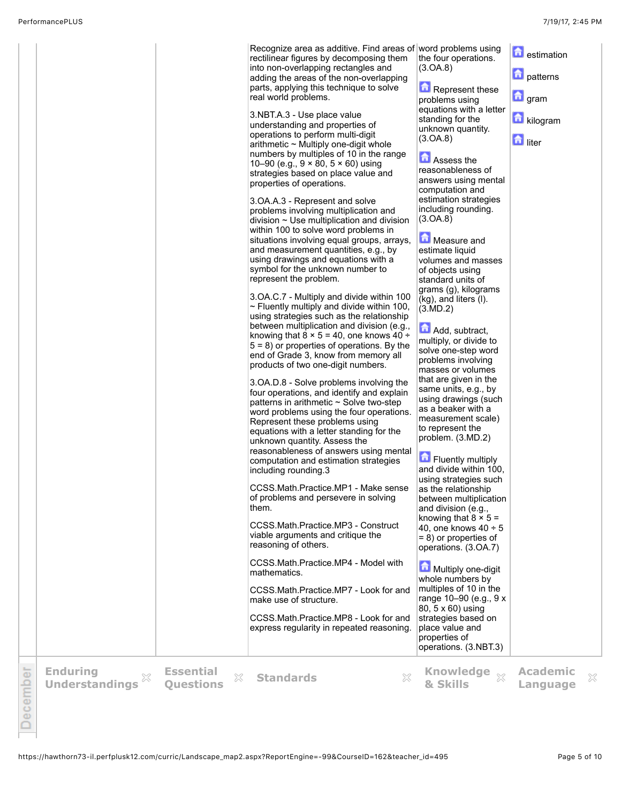|         |                                          |                                           | Recognize area as additive. Find areas of word problems using<br>rectilinear figures by decomposing them<br>into non-overlapping rectangles and<br>adding the areas of the non-overlapping<br>parts, applying this technique to solve<br>real world problems.<br>3.NBT.A.3 - Use place value<br>understanding and properties of<br>operations to perform multi-digit<br>$arithmetic$ $\sim$ Multiply one-digit whole<br>numbers by multiples of 10 in the range<br>10-90 (e.g., $9 \times 80$ , $5 \times 60$ ) using<br>strategies based on place value and<br>properties of operations.<br>3.OA.A.3 - Represent and solve<br>problems involving multiplication and<br>division $\sim$ Use multiplication and division<br>within 100 to solve word problems in<br>situations involving equal groups, arrays,<br>and measurement quantities, e.g., by<br>using drawings and equations with a<br>symbol for the unknown number to<br>represent the problem.<br>3.OA.C.7 - Multiply and divide within 100<br>$\sim$ Fluently multiply and divide within 100,<br>using strategies such as the relationship<br>between multiplication and division (e.g.,<br>knowing that $8 \times 5 = 40$ , one knows $40 \div$<br>$5 = 8$ ) or properties of operations. By the<br>end of Grade 3, know from memory all<br>products of two one-digit numbers.<br>3.OA.D.8 - Solve problems involving the<br>four operations, and identify and explain<br>patterns in arithmetic $\sim$ Solve two-step<br>word problems using the four operations.<br>Represent these problems using<br>equations with a letter standing for the<br>unknown quantity. Assess the<br>reasonableness of answers using mental<br>computation and estimation strategies<br>including rounding.3<br>CCSS.Math.Practice.MP1 - Make sense<br>of problems and persevere in solving<br>them.<br>CCSS.Math.Practice.MP3 - Construct<br>viable arguments and critique the<br>reasoning of others.<br>CCSS.Math.Practice.MP4 - Model with<br>mathematics.<br>CCSS.Math.Practice.MP7 - Look for and<br>make use of structure.<br>CCSS.Math.Practice.MP8 - Look for and<br>express regularity in repeated reasoning. | the four operations.<br>(3.0A.8)<br>Represent these<br>problems using<br>equations with a letter<br>standing for the<br>unknown quantity.<br>(3.0A.8)<br>Assess the<br>reasonableness of<br>answers using mental<br>computation and<br>estimation strategies<br>including rounding.<br>(3.0A.8)<br>Measure and<br>estimate liquid<br>volumes and masses<br>of objects using<br>standard units of<br>grams (g), kilograms<br>(kg), and liters (I).<br>(3.MD.2)<br>Add, subtract,<br>multiply, or divide to<br>solve one-step word<br>problems involving<br>masses or volumes<br>that are given in the<br>same units, e.g., by<br>using drawings (such<br>as a beaker with a<br>measurement scale)<br>to represent the<br>problem. (3.MD.2)<br>Fluently multiply<br>and divide within 100.<br>using strategies such<br>as the relationship<br>between multiplication<br>and division (e.g.,<br>knowing that $8 \times 5 =$<br>40, one knows $40 \div 5$<br>$= 8$ ) or properties of<br>operations. (3.OA.7)<br>Multiply one-digit<br>whole numbers by<br>multiples of 10 in the<br>range 10-90 (e.g., 9 x<br>80, 5 x 60) using<br>strategies based on<br>place value and<br>properties of<br>operations. (3.NBT.3) | <b>a</b> estimation<br><b>D</b> patterns<br>$\Box$ gram<br>kilogram<br><b>h</b> liter |   |
|---------|------------------------------------------|-------------------------------------------|----------------------------------------------------------------------------------------------------------------------------------------------------------------------------------------------------------------------------------------------------------------------------------------------------------------------------------------------------------------------------------------------------------------------------------------------------------------------------------------------------------------------------------------------------------------------------------------------------------------------------------------------------------------------------------------------------------------------------------------------------------------------------------------------------------------------------------------------------------------------------------------------------------------------------------------------------------------------------------------------------------------------------------------------------------------------------------------------------------------------------------------------------------------------------------------------------------------------------------------------------------------------------------------------------------------------------------------------------------------------------------------------------------------------------------------------------------------------------------------------------------------------------------------------------------------------------------------------------------------------------------------------------------------------------------------------------------------------------------------------------------------------------------------------------------------------------------------------------------------------------------------------------------------------------------------------------------------------------------------------------------------------------------------------------------------------------------------------------------------------------------------------------------------------|------------------------------------------------------------------------------------------------------------------------------------------------------------------------------------------------------------------------------------------------------------------------------------------------------------------------------------------------------------------------------------------------------------------------------------------------------------------------------------------------------------------------------------------------------------------------------------------------------------------------------------------------------------------------------------------------------------------------------------------------------------------------------------------------------------------------------------------------------------------------------------------------------------------------------------------------------------------------------------------------------------------------------------------------------------------------------------------------------------------------------------------------------------------------------------------------------------------|---------------------------------------------------------------------------------------|---|
| ecember | <b>Enduring</b><br><b>Understandings</b> | <b>Essential</b><br>X<br><b>Ouestions</b> | X<br><b>Standards</b>                                                                                                                                                                                                                                                                                                                                                                                                                                                                                                                                                                                                                                                                                                                                                                                                                                                                                                                                                                                                                                                                                                                                                                                                                                                                                                                                                                                                                                                                                                                                                                                                                                                                                                                                                                                                                                                                                                                                                                                                                                                                                                                                                | Knowledge $\frac{1}{20}$<br>& Skills                                                                                                                                                                                                                                                                                                                                                                                                                                                                                                                                                                                                                                                                                                                                                                                                                                                                                                                                                                                                                                                                                                                                                                             | <b>Academic</b><br>Language                                                           | × |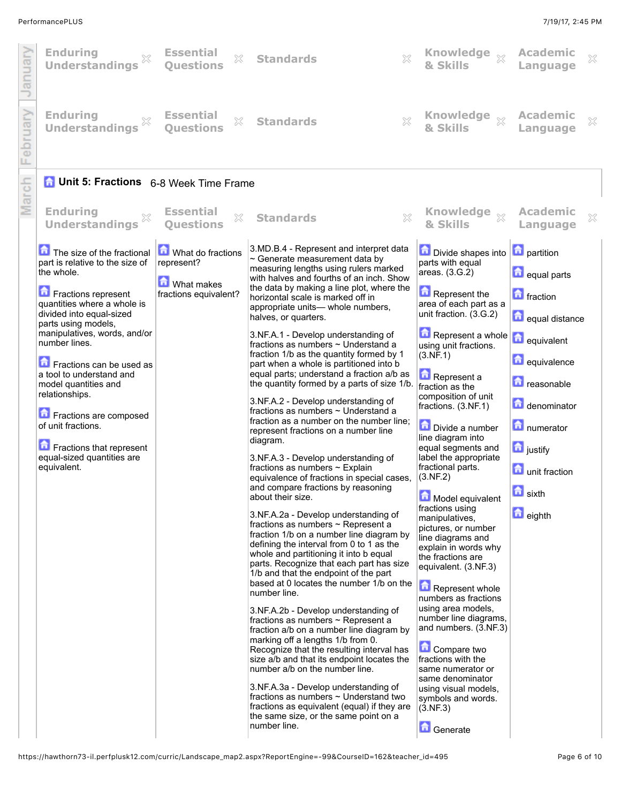L

I

|   | <b>Enduring</b><br><b>Understandings</b>                                                                                                                                                                                                                                                                                                                                                                                                                         | <b>Essential</b><br>×<br><b>Ouestions</b>                                       | X<br><b>Standards</b>                                                                                                                                                                                                                                                                                                                                                                                                                                                                                                                                                                                                                                                                                                                                                                                                                                                                                                                                                                                                                                                                                                                                                                                                                                                                                                                                                                                                                                                                                                                                                                                                                                                                                                                                                                                                    | Knowledge xx<br>& Skills                                                                                                                                                                                                                                                                                                                                                                                                                                                                                                                                                                                                                                                                                                                                                                                                                                | <b>Academic</b><br>Language                                                                                                                                                                                                                                   | $\mathbb{X}$ |
|---|------------------------------------------------------------------------------------------------------------------------------------------------------------------------------------------------------------------------------------------------------------------------------------------------------------------------------------------------------------------------------------------------------------------------------------------------------------------|---------------------------------------------------------------------------------|--------------------------------------------------------------------------------------------------------------------------------------------------------------------------------------------------------------------------------------------------------------------------------------------------------------------------------------------------------------------------------------------------------------------------------------------------------------------------------------------------------------------------------------------------------------------------------------------------------------------------------------------------------------------------------------------------------------------------------------------------------------------------------------------------------------------------------------------------------------------------------------------------------------------------------------------------------------------------------------------------------------------------------------------------------------------------------------------------------------------------------------------------------------------------------------------------------------------------------------------------------------------------------------------------------------------------------------------------------------------------------------------------------------------------------------------------------------------------------------------------------------------------------------------------------------------------------------------------------------------------------------------------------------------------------------------------------------------------------------------------------------------------------------------------------------------------|---------------------------------------------------------------------------------------------------------------------------------------------------------------------------------------------------------------------------------------------------------------------------------------------------------------------------------------------------------------------------------------------------------------------------------------------------------------------------------------------------------------------------------------------------------------------------------------------------------------------------------------------------------------------------------------------------------------------------------------------------------------------------------------------------------------------------------------------------------|---------------------------------------------------------------------------------------------------------------------------------------------------------------------------------------------------------------------------------------------------------------|--------------|
|   | <b>Enduring</b><br><b>Understandings</b>                                                                                                                                                                                                                                                                                                                                                                                                                         | <b>Essential</b><br>×<br><b>Ouestions</b>                                       | $\gtrsim$<br><b>Standards</b>                                                                                                                                                                                                                                                                                                                                                                                                                                                                                                                                                                                                                                                                                                                                                                                                                                                                                                                                                                                                                                                                                                                                                                                                                                                                                                                                                                                                                                                                                                                                                                                                                                                                                                                                                                                            | Knowledge xx<br>& Skills                                                                                                                                                                                                                                                                                                                                                                                                                                                                                                                                                                                                                                                                                                                                                                                                                                | <b>Academic</b><br>Language                                                                                                                                                                                                                                   | ×            |
|   | <b>C</b> Unit 5: Fractions 6-8 Week Time Frame                                                                                                                                                                                                                                                                                                                                                                                                                   |                                                                                 |                                                                                                                                                                                                                                                                                                                                                                                                                                                                                                                                                                                                                                                                                                                                                                                                                                                                                                                                                                                                                                                                                                                                                                                                                                                                                                                                                                                                                                                                                                                                                                                                                                                                                                                                                                                                                          |                                                                                                                                                                                                                                                                                                                                                                                                                                                                                                                                                                                                                                                                                                                                                                                                                                                         |                                                                                                                                                                                                                                                               |              |
| Ξ | <b>Enduring</b><br><b>Understandings</b>                                                                                                                                                                                                                                                                                                                                                                                                                         | <b>Essential</b><br>×<br><b>Ouestions</b>                                       | ×<br><b>Standards</b>                                                                                                                                                                                                                                                                                                                                                                                                                                                                                                                                                                                                                                                                                                                                                                                                                                                                                                                                                                                                                                                                                                                                                                                                                                                                                                                                                                                                                                                                                                                                                                                                                                                                                                                                                                                                    | Knowledge xx<br>& Skills                                                                                                                                                                                                                                                                                                                                                                                                                                                                                                                                                                                                                                                                                                                                                                                                                                | <b>Academic</b><br>Language                                                                                                                                                                                                                                   | X            |
|   | The size of the fractional<br>part is relative to the size of<br>the whole.<br>Fractions represent<br>quantities where a whole is<br>divided into equal-sized<br>parts using models,<br>manipulatives, words, and/or<br>number lines.<br>Fractions can be used as<br>a tool to understand and<br>model quantities and<br>relationships.<br>Fractions are composed<br>of unit fractions.<br>Fractions that represent<br>equal-sized quantities are<br>equivalent. | What do fractions<br>represent?<br><b>M</b> What makes<br>fractions equivalent? | 3.MD.B.4 - Represent and interpret data<br>$\sim$ Generate measurement data by<br>measuring lengths using rulers marked<br>with halves and fourths of an inch. Show<br>the data by making a line plot, where the<br>horizontal scale is marked off in<br>appropriate units- whole numbers,<br>halves, or quarters.<br>3.NF.A.1 - Develop understanding of<br>fractions as numbers ~ Understand a<br>fraction 1/b as the quantity formed by 1<br>part when a whole is partitioned into b<br>equal parts; understand a fraction a/b as<br>the quantity formed by a parts of size 1/b.<br>3.NF.A.2 - Develop understanding of<br>fractions as numbers ~ Understand a<br>fraction as a number on the number line;<br>represent fractions on a number line<br>diagram.<br>3.NF.A.3 - Develop understanding of<br>fractions as numbers ~ Explain<br>equivalence of fractions in special cases,<br>and compare fractions by reasoning<br>about their size.<br>3.NF.A.2a - Develop understanding of<br>fractions as numbers $\sim$ Represent a<br>fraction 1/b on a number line diagram by<br>defining the interval from 0 to 1 as the<br>whole and partitioning it into b equal<br>parts. Recognize that each part has size<br>1/b and that the endpoint of the part<br>based at 0 locates the number 1/b on the<br>number line.<br>3.NF.A.2b - Develop understanding of<br>fractions as numbers $\sim$ Represent a<br>fraction a/b on a number line diagram by<br>marking off a lengths 1/b from 0.<br>Recognize that the resulting interval has<br>size a/b and that its endpoint locates the<br>number a/b on the number line.<br>3.NF.A.3a - Develop understanding of<br>fractions as numbers $\sim$ Understand two<br>fractions as equivalent (equal) if they are<br>the same size, or the same point on a<br>number line. | <b>Divide shapes into</b><br>parts with equal<br>areas. (3.G.2)<br>Represent the<br>area of each part as a<br>unit fraction. (3.G.2)<br>Represent a whole<br>using unit fractions.<br>(3.NF.1)<br>Represent a<br>fraction as the<br>composition of unit<br>fractions. (3.NF.1)<br>Divide a number<br>line diagram into<br>equal segments and<br>label the appropriate<br>fractional parts.<br>(3.NF.2)<br>Model equivalent<br>fractions using<br>manipulatives,<br>pictures, or number<br>line diagrams and<br>explain in words why<br>the fractions are<br>equivalent. (3.NF.3)<br>Represent whole<br>numbers as fractions<br>using area models,<br>number line diagrams,<br>and numbers. (3.NF.3)<br>Compare two<br>fractions with the<br>same numerator or<br>same denominator<br>using visual models,<br>symbols and words.<br>(3.NF.3)<br>Generate | <b>D</b> partition<br><b>d</b> equal parts<br><b>n</b> fraction<br>equal distance<br><b>n</b> equivalent<br><b>n</b> equivalence<br><b>n</b> reasonable<br>denominator<br>numerator<br><b>n</b> justify<br><b>n</b> unit fraction<br><b>n</b> sixth<br>eighth |              |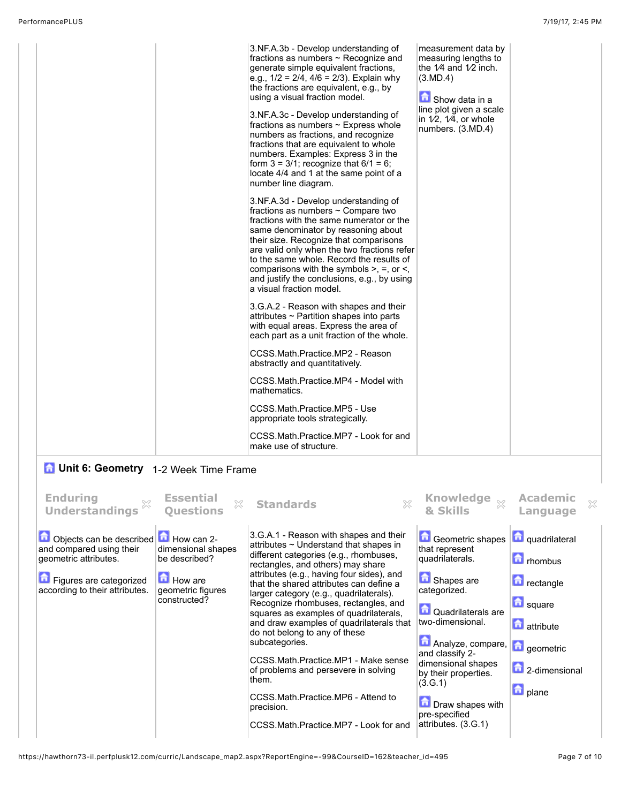| 3.NF.A.3b - Develop understanding of<br>fractions as numbers $\sim$ Recognize and<br>generate simple equivalent fractions,<br>e.g., $1/2 = 2/4$ , $4/6 = 2/3$ ). Explain why<br>the fractions are equivalent, e.g., by<br>using a visual fraction model.                                                                                                                                                                             | measurement data by<br>measuring lengths to<br>the $1/4$ and $1/2$ inch.<br>(3.MD.4)<br>Show data in a |
|--------------------------------------------------------------------------------------------------------------------------------------------------------------------------------------------------------------------------------------------------------------------------------------------------------------------------------------------------------------------------------------------------------------------------------------|--------------------------------------------------------------------------------------------------------|
| 3.NF.A.3c - Develop understanding of<br>fractions as numbers ~ Express whole<br>numbers as fractions, and recognize<br>fractions that are equivalent to whole<br>numbers. Examples: Express 3 in the<br>form $3 = 3/1$ ; recognize that $6/1 = 6$ ;<br>locate 4/4 and 1 at the same point of a<br>number line diagram.                                                                                                               | line plot given a scale<br>in $1/2$ , $1/4$ , or whole<br>numbers. (3.MD.4)                            |
| 3.NF.A.3d - Develop understanding of<br>fractions as numbers ~ Compare two<br>fractions with the same numerator or the<br>same denominator by reasoning about<br>their size. Recognize that comparisons<br>are valid only when the two fractions refer<br>to the same whole. Record the results of<br>comparisons with the symbols $>$ , $=$ , or $\le$ ,<br>and justify the conclusions, e.g., by using<br>a visual fraction model. |                                                                                                        |
| 3.G.A.2 - Reason with shapes and their<br>attributes ~ Partition shapes into parts<br>with equal areas. Express the area of<br>each part as a unit fraction of the whole.                                                                                                                                                                                                                                                            |                                                                                                        |
| CCSS.Math.Practice.MP2 - Reason<br>abstractly and quantitatively.                                                                                                                                                                                                                                                                                                                                                                    |                                                                                                        |
| CCSS.Math.Practice.MP4 - Model with<br>mathematics.                                                                                                                                                                                                                                                                                                                                                                                  |                                                                                                        |
| CCSS.Math.Practice.MP5 - Use<br>appropriate tools strategically.                                                                                                                                                                                                                                                                                                                                                                     |                                                                                                        |
| CCSS.Math.Practice.MP7 - Look for and<br>make use of structure.                                                                                                                                                                                                                                                                                                                                                                      |                                                                                                        |

## **1** Unit 6: Geometry 1-2 Week Time Frame

| <b>Enduring</b><br><b>Understandings</b>                                                                                                                       | <b>Essential</b><br>Questions                                                                 | <b>Standards</b>                                                                                                                                                                                                                                                                                                                                                                                                                                                                                                                                                                                                                                                              | Knowledge $\frac{1}{2}$<br>& Skills                                                                                                                                                                                                                                                                        | <b>Academic</b><br>$\chi$<br>Language                                                                                                                     |
|----------------------------------------------------------------------------------------------------------------------------------------------------------------|-----------------------------------------------------------------------------------------------|-------------------------------------------------------------------------------------------------------------------------------------------------------------------------------------------------------------------------------------------------------------------------------------------------------------------------------------------------------------------------------------------------------------------------------------------------------------------------------------------------------------------------------------------------------------------------------------------------------------------------------------------------------------------------------|------------------------------------------------------------------------------------------------------------------------------------------------------------------------------------------------------------------------------------------------------------------------------------------------------------|-----------------------------------------------------------------------------------------------------------------------------------------------------------|
| Objects can be described <b>b</b> How can 2-<br>and compared using their<br>geometric attributes.<br>Figures are categorized<br>according to their attributes. | dimensional shapes<br>be described?<br><b>Ed</b> How are<br>geometric figures<br>constructed? | 3.G.A.1 - Reason with shapes and their<br>attributes $\sim$ Understand that shapes in<br>different categories (e.g., rhombuses,<br>rectangles, and others) may share<br>attributes (e.g., having four sides), and<br>that the shared attributes can define a<br>larger category (e.g., quadrilaterals).<br>Recognize rhombuses, rectangles, and<br>squares as examples of quadrilaterals,<br>and draw examples of quadrilaterals that<br>do not belong to any of these<br>subcategories.<br>CCSS.Math.Practice.MP1 - Make sense<br>of problems and persevere in solving<br>them.<br>CCSS.Math.Practice.MP6 - Attend to<br>precision.<br>CCSS.Math.Practice.MP7 - Look for and | <b>Geometric shapes</b><br>that represent<br>quadrilaterals.<br>Shapes are<br>categorized.<br>Quadrilaterals are<br>two-dimensional.<br>Analyze, compare,<br>and classify 2-<br>dimensional shapes<br>by their properties.<br>(3.G.1)<br><b>D</b> Draw shapes with<br>pre-specified<br>attributes. (3.G.1) | quadrilateral<br><b>n</b> rhombus<br><b>n</b> rectangle<br><b>D</b> square<br><b>n</b> attribute<br><b>d</b> geometric<br>2-dimensional<br><b>D</b> plane |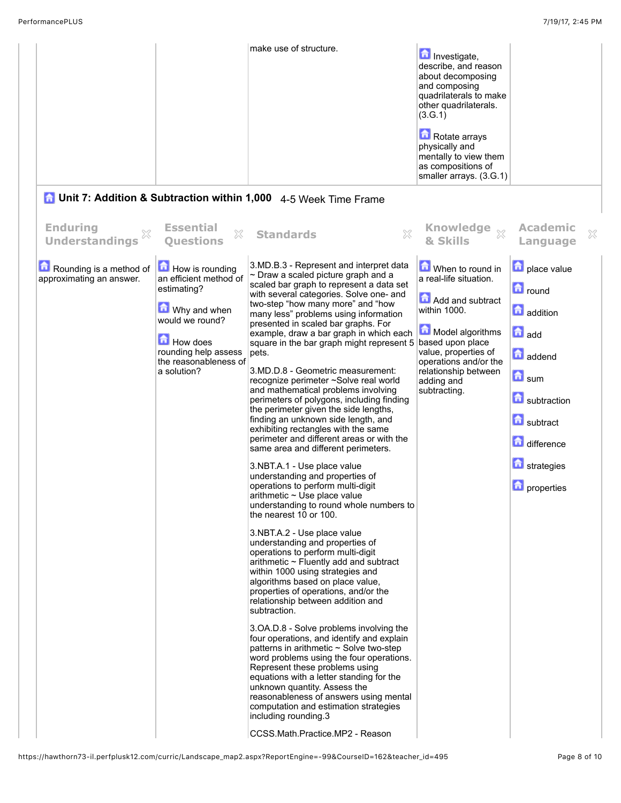|                                                     |                                                                                                                                                                                | make use of structure.                                                                                                                                                                                                                                                                                                                                                                                                                                                                                                                                                                                                                                                                                                                                                                                                                                                                                                                                                                                                                                                                                                                                                                                                                                                                                                                                                                                                                                                                                                                                                                                                                                                                                                                                                                       | <b>n</b> Investigate,<br>describe, and reason<br>about decomposing<br>and composing<br>quadrilaterals to make<br>other quadrilaterals.<br>(3.G.1)<br>Rotate arrays<br>physically and<br>mentally to view them<br>as compositions of<br>smaller arrays. (3.G.1) |                                                                                                                                                                                       |   |
|-----------------------------------------------------|--------------------------------------------------------------------------------------------------------------------------------------------------------------------------------|----------------------------------------------------------------------------------------------------------------------------------------------------------------------------------------------------------------------------------------------------------------------------------------------------------------------------------------------------------------------------------------------------------------------------------------------------------------------------------------------------------------------------------------------------------------------------------------------------------------------------------------------------------------------------------------------------------------------------------------------------------------------------------------------------------------------------------------------------------------------------------------------------------------------------------------------------------------------------------------------------------------------------------------------------------------------------------------------------------------------------------------------------------------------------------------------------------------------------------------------------------------------------------------------------------------------------------------------------------------------------------------------------------------------------------------------------------------------------------------------------------------------------------------------------------------------------------------------------------------------------------------------------------------------------------------------------------------------------------------------------------------------------------------------|----------------------------------------------------------------------------------------------------------------------------------------------------------------------------------------------------------------------------------------------------------------|---------------------------------------------------------------------------------------------------------------------------------------------------------------------------------------|---|
|                                                     |                                                                                                                                                                                | <b>C</b> Unit 7: Addition & Subtraction within 1,000 4-5 Week Time Frame                                                                                                                                                                                                                                                                                                                                                                                                                                                                                                                                                                                                                                                                                                                                                                                                                                                                                                                                                                                                                                                                                                                                                                                                                                                                                                                                                                                                                                                                                                                                                                                                                                                                                                                     |                                                                                                                                                                                                                                                                |                                                                                                                                                                                       |   |
| <b>Enduring</b><br>X<br><b>Understandings</b>       | <b>Essential</b><br>×<br><b>Questions</b>                                                                                                                                      | ×<br><b>Standards</b>                                                                                                                                                                                                                                                                                                                                                                                                                                                                                                                                                                                                                                                                                                                                                                                                                                                                                                                                                                                                                                                                                                                                                                                                                                                                                                                                                                                                                                                                                                                                                                                                                                                                                                                                                                        | Knowledge xx<br>& Skills                                                                                                                                                                                                                                       | <b>Academic</b><br>Language                                                                                                                                                           | X |
| Rounding is a method of<br>approximating an answer. | How is rounding<br>an efficient method of<br>estimating?<br>Why and when<br>would we round?<br><b>How does</b><br>rounding help assess<br>the reasonableness of<br>a solution? | 3.MD.B.3 - Represent and interpret data<br>$\sim$ Draw a scaled picture graph and a<br>scaled bar graph to represent a data set<br>with several categories. Solve one- and<br>two-step "how many more" and "how<br>many less" problems using information<br>presented in scaled bar graphs. For<br>example, draw a bar graph in which each<br>square in the bar graph might represent 5 based upon place<br>pets.<br>3.MD.D.8 - Geometric measurement:<br>recognize perimeter ~Solve real world<br>and mathematical problems involving<br>perimeters of polygons, including finding<br>the perimeter given the side lengths,<br>finding an unknown side length, and<br>exhibiting rectangles with the same<br>perimeter and different areas or with the<br>same area and different perimeters.<br>3.NBT.A.1 - Use place value<br>understanding and properties of<br>operations to perform multi-digit<br>arithmetic $\sim$ Use place value<br>understanding to round whole numbers to<br>the nearest 10 or 100.<br>3.NBT.A.2 - Use place value<br>understanding and properties of<br>operations to perform multi-digit<br>$arithmetic$ $\sim$ Fluently add and subtract<br>within 1000 using strategies and<br>algorithms based on place value,<br>properties of operations, and/or the<br>relationship between addition and<br>subtraction.<br>3.OA.D.8 - Solve problems involving the<br>four operations, and identify and explain<br>patterns in arithmetic $\sim$ Solve two-step<br>word problems using the four operations.<br>Represent these problems using<br>equations with a letter standing for the<br>unknown quantity. Assess the<br>reasonableness of answers using mental<br>computation and estimation strategies<br>including rounding.3<br>CCSS.Math.Practice.MP2 - Reason | When to round in<br>a real-life situation.<br>Add and subtract<br>within 1000.<br>Model algorithms<br>value, properties of<br>operations and/or the<br>relationship between<br>adding and<br>subtracting.                                                      | place value<br><b>n</b> round<br><b>addition</b><br>$\Box$ add<br>addend<br>$\blacksquare$ sum<br>subtraction<br>subtract<br>difference<br><b>h</b> strategies<br><b>n</b> properties |   |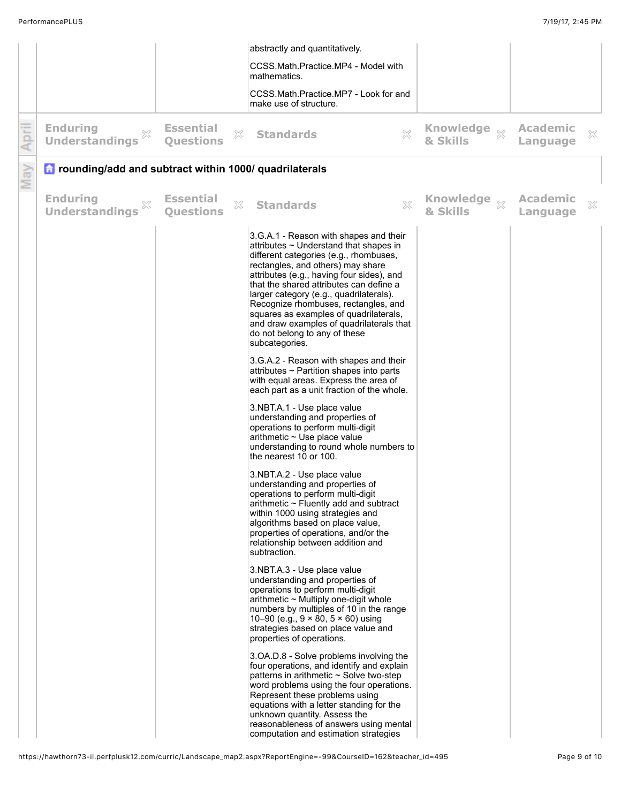|       |                                                                |                                      |                | abstractly and quantitatively.                                                                                                                                                                                                                                                                                                                                                                                                                                                           |                                     |                             |                           |
|-------|----------------------------------------------------------------|--------------------------------------|----------------|------------------------------------------------------------------------------------------------------------------------------------------------------------------------------------------------------------------------------------------------------------------------------------------------------------------------------------------------------------------------------------------------------------------------------------------------------------------------------------------|-------------------------------------|-----------------------------|---------------------------|
|       |                                                                |                                      |                | CCSS.Math.Practice.MP4 - Model with<br>mathematics.                                                                                                                                                                                                                                                                                                                                                                                                                                      |                                     |                             |                           |
|       |                                                                |                                      |                | CCSS.Math.Practice.MP7 - Look for and<br>make use of structure.                                                                                                                                                                                                                                                                                                                                                                                                                          |                                     |                             |                           |
| April | <b>Enduring</b><br>$\mathbb{X}$<br><b>Understandings</b>       | <b>Essential</b><br><b>Questions</b> | $\mathbb{X}^-$ | X<br><b>Standards</b>                                                                                                                                                                                                                                                                                                                                                                                                                                                                    | Knowledge $\frac{1}{2}$<br>& Skills | <b>Academic</b><br>Language | $\boldsymbol{\mathbb{X}}$ |
| May   | <b>n</b> rounding/add and subtract within 1000/ quadrilaterals |                                      |                |                                                                                                                                                                                                                                                                                                                                                                                                                                                                                          |                                     |                             |                           |
|       | <b>Enduring</b><br>×<br><b>Understandings</b>                  | <b>Essential</b><br><b>Questions</b> | $\mathbb{X}^-$ | $\mathbb{X}$<br><b>Standards</b>                                                                                                                                                                                                                                                                                                                                                                                                                                                         | Knowledge $\frac{1}{2}$<br>& Skills | Academic<br>Language        | $\mathbb{X}$              |
|       |                                                                |                                      |                | 3.G.A.1 - Reason with shapes and their<br>attributes $\sim$ Understand that shapes in<br>different categories (e.g., rhombuses,<br>rectangles, and others) may share<br>attributes (e.g., having four sides), and<br>that the shared attributes can define a<br>larger category (e.g., quadrilaterals).<br>Recognize rhombuses, rectangles, and<br>squares as examples of quadrilaterals,<br>and draw examples of quadrilaterals that<br>do not belong to any of these<br>subcategories. |                                     |                             |                           |
|       |                                                                |                                      |                | 3.G.A.2 - Reason with shapes and their<br>attributes ~ Partition shapes into parts<br>with equal areas. Express the area of<br>each part as a unit fraction of the whole.                                                                                                                                                                                                                                                                                                                |                                     |                             |                           |
|       |                                                                |                                      |                | 3.NBT.A.1 - Use place value<br>understanding and properties of<br>operations to perform multi-digit<br>arithmetic ~ Use place value<br>understanding to round whole numbers to<br>the nearest 10 or 100.                                                                                                                                                                                                                                                                                 |                                     |                             |                           |
|       |                                                                |                                      |                | 3.NBT.A.2 - Use place value<br>understanding and properties of<br>operations to perform multi-digit<br>arithmetic $\sim$ Fluently add and subtract<br>within 1000 using strategies and<br>algorithms based on place value,<br>properties of operations, and/or the<br>relationship between addition and<br>subtraction.                                                                                                                                                                  |                                     |                             |                           |
|       |                                                                |                                      |                | 3.NBT.A.3 - Use place value<br>understanding and properties of<br>operations to perform multi-digit<br>$arithmetic$ $\sim$ Multiply one-digit whole<br>numbers by multiples of 10 in the range<br>10-90 (e.g., $9 \times 80$ , $5 \times 60$ ) using<br>strategies based on place value and<br>properties of operations.                                                                                                                                                                 |                                     |                             |                           |
|       |                                                                |                                      |                | 3.OA.D.8 - Solve problems involving the<br>four operations, and identify and explain<br>patterns in arithmetic $\sim$ Solve two-step<br>word problems using the four operations.<br>Represent these problems using<br>equations with a letter standing for the<br>unknown quantity. Assess the<br>reasonableness of answers using mental<br>computation and estimation strategies                                                                                                        |                                     |                             |                           |